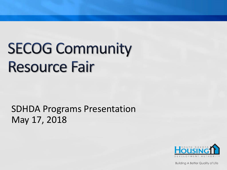# **SECOG Community Resource Fair**

SDHDA Programs Presentation May 17, 2018

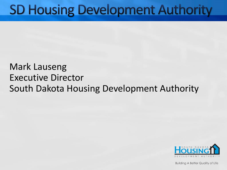## **SD Housing Development Authority**

#### Mark Lauseng Executive Director South Dakota Housing Development Authority

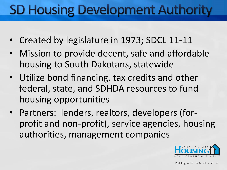# **SD Housing Development Authority**

- Created by legislature in 1973; SDCL 11-11
- Mission to provide decent, safe and affordable housing to South Dakotans, statewide
- Utilize bond financing, tax credits and other federal, state, and SDHDA resources to fund housing opportunities
- Partners: lenders, realtors, developers (forprofit and non-profit), service agencies, housing authorities, management companies

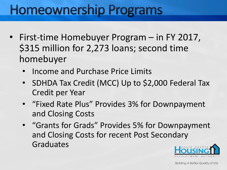## **Homeownership Programs**

- First-time Homebuyer Program in FY 2017, \$315 million for 2,273 loans; second time homebuyer
	- Income and Purchase Price Limits
	- SDHDA Tax Credit (MCC) Up to \$2,000 Federal Tax Credit per Year
	- "Fixed Rate Plus" Provides 3% for Downpayment and Closing Costs
	- "Grants for Grads" Provides 5% for Downpayment and Closing Costs for recent Post Secondary Graduates

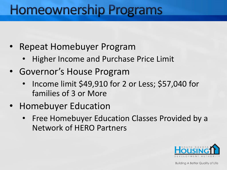## **Homeownership Programs**

- Repeat Homebuyer Program
	- Higher Income and Purchase Price Limit
- Governor's House Program
	- Income limit \$49,910 for 2 or Less; \$57,040 for families of 3 or More
- Homebuyer Education
	- Free Homebuyer Education Classes Provided by a Network of HERO Partners

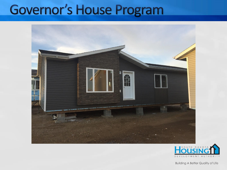# Governor's House Program



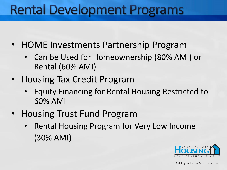# **Rental Development Programs**

- HOME Investments Partnership Program
	- Can be Used for Homeownership (80% AMI) or Rental (60% AMI)
- Housing Tax Credit Program
	- Equity Financing for Rental Housing Restricted to 60% AMI
- Housing Trust Fund Program
	- Rental Housing Program for Very Low Income (30% AMI)

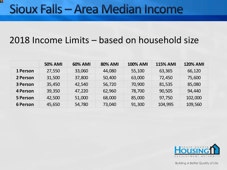### Sioux Falls - Area Median Income

ш

#### 2018 Income Limits – based on household size

|                 | <b>50% AMI</b> | <b>60% AMI</b> | <b>80% AMI</b> | <b>100% AMI</b> | <b>115% AMI</b> | <b>120% AMI</b> |
|-----------------|----------------|----------------|----------------|-----------------|-----------------|-----------------|
| 1 Person        | 27,550         | 33,060         | 44,080         | 55,100          | 63,365          | 66,120          |
| 2 Person        | 31,500         | 37,800         | 50,400         | 63,000          | 72,450          | 75,600          |
| 3 Person        | 35,450         | 42,540         | 56,720         | 70,900          | 81,535          | 85,080          |
| <b>4 Person</b> | 39,350         | 47,220         | 62,960         | 78,700          | 90,505          | 94,440          |
| <b>5 Person</b> | 42,500         | 51,000         | 68,000         | 85,000          | 97,750          | 102,000         |
| <b>6 Person</b> | 45,650         | 54,780         | 73,040         | 91,300          | 104,995         | 109,560         |

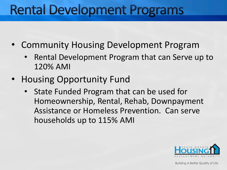# **Rental Development Programs**

- Community Housing Development Program
	- Rental Development Program that can Serve up to 120% AMI
- Housing Opportunity Fund
	- State Funded Program that can be used for Homeownership, Rental, Rehab, Downpayment Assistance or Homeless Prevention. Can serve households up to 115% AMI